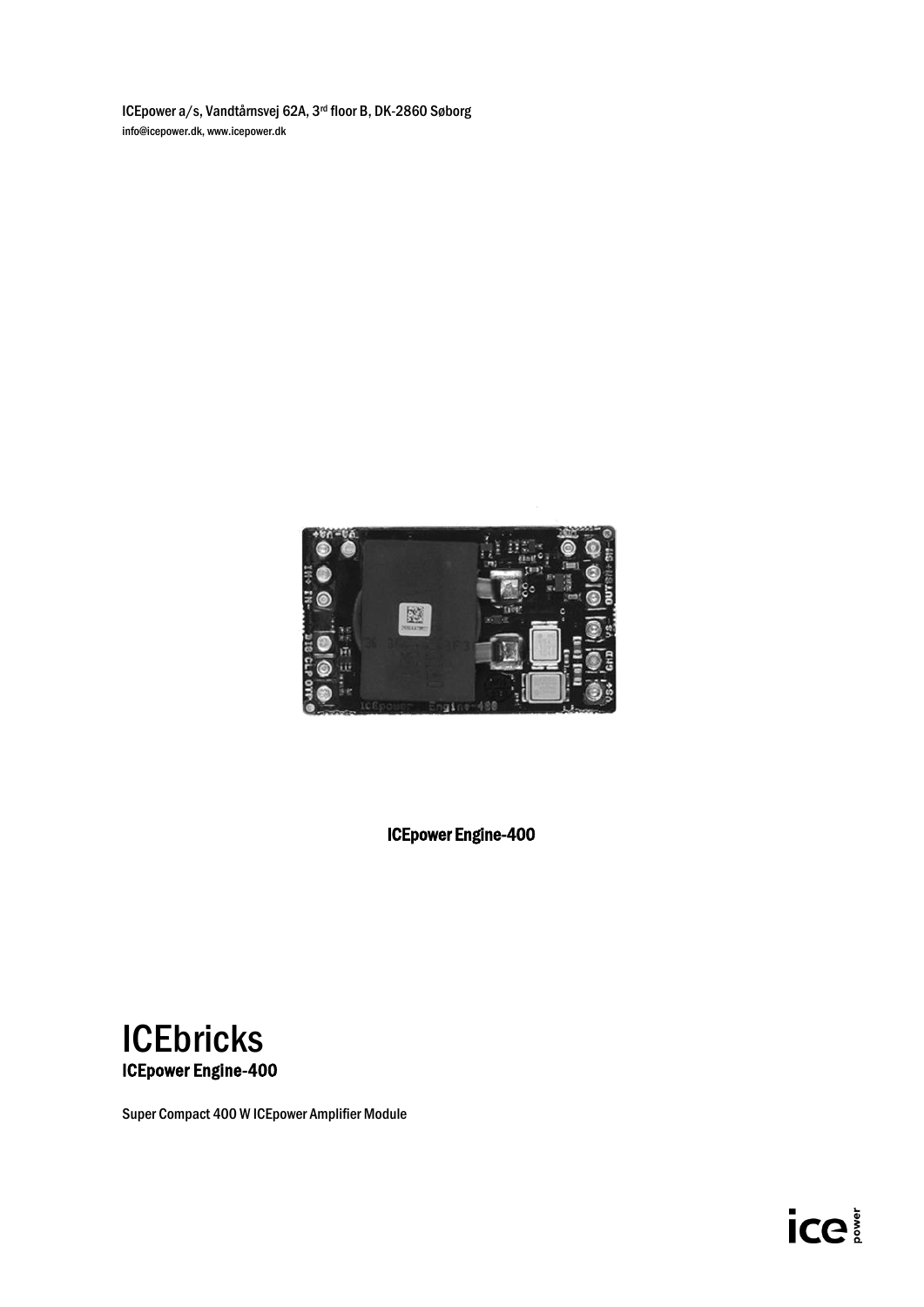ICEpower a/s, Vandtårnsvej 62A, 3rd floor B, DK-2860 Søborg info@icepower.dk[, www.icepower.dk](http://www.icepower.dk/)



ICEpower Engine-400



Super Compact 400 W ICEpower Amplifier Module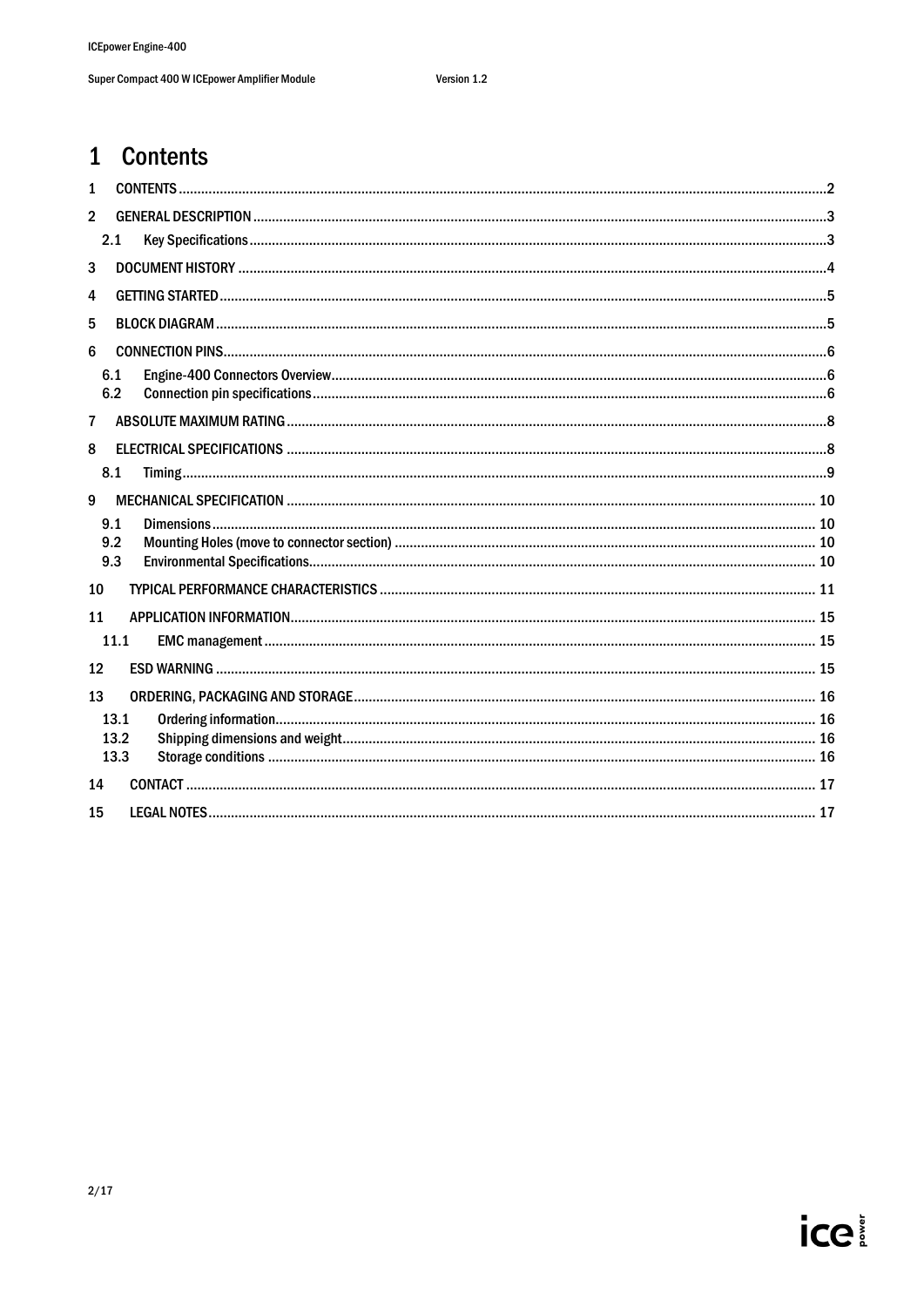## <span id="page-1-0"></span>1 Contents

| 2.1        |             |
|------------|-------------|
|            |             |
|            |             |
|            |             |
|            |             |
| 6.1<br>6.2 |             |
|            |             |
|            |             |
| 8.1        |             |
|            |             |
| 9.1        |             |
| 9.2        |             |
|            |             |
|            |             |
|            |             |
| 11.1       |             |
|            |             |
|            |             |
| 13.1       |             |
| 13.2       |             |
|            |             |
|            |             |
|            |             |
|            | 9.3<br>13.3 |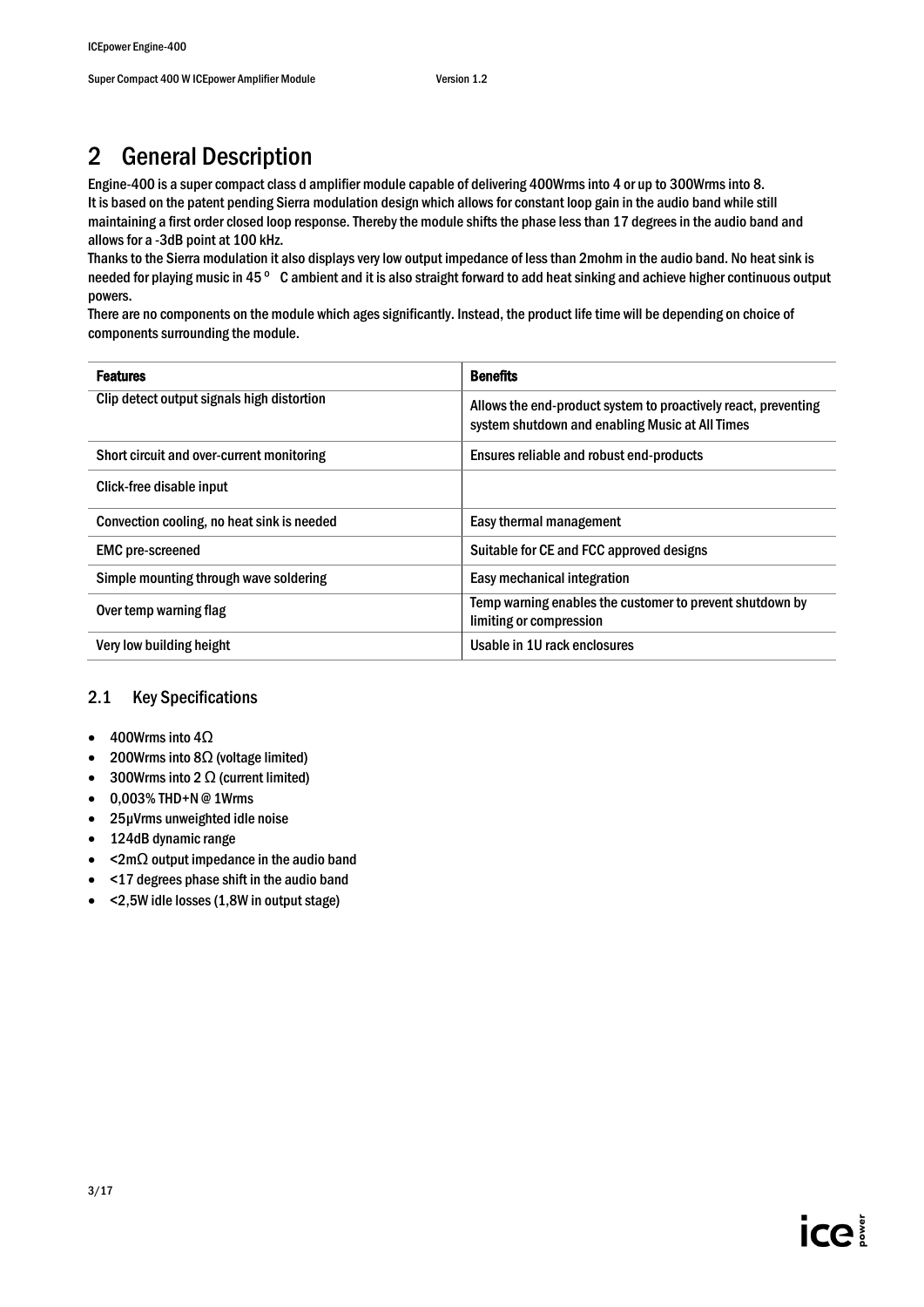# <span id="page-2-0"></span>2 General Description

Engine-400 is a super compact class d amplifier module capable of delivering 400Wrms into 4 or up to 300Wrms into 8. It is based on the patent pending Sierra modulation design which allows for constant loop gain in the audio band while still maintaining a first order closed loop response. Thereby the module shifts the phase less than 17 degrees in the audio band and allows for a -3dB point at 100 kHz.

Thanks to the Sierra modulation it also displays very low output impedance of less than 2mohm in the audio band. No heat sink is needed for playing music in 45 ° C ambient and it is also straight forward to add heat sinking and achieve higher continuous output powers.

There are no components on the module which ages significantly. Instead, the product life time will be depending on choice of components surrounding the module.

| <b>Features</b>                            | <b>Benefits</b>                                                                                                   |
|--------------------------------------------|-------------------------------------------------------------------------------------------------------------------|
| Clip detect output signals high distortion | Allows the end-product system to proactively react, preventing<br>system shutdown and enabling Music at All Times |
| Short circuit and over-current monitoring  | Ensures reliable and robust end-products                                                                          |
| Click-free disable input                   |                                                                                                                   |
| Convection cooling, no heat sink is needed | Easy thermal management                                                                                           |
| <b>EMC</b> pre-screened                    | Suitable for CE and FCC approved designs                                                                          |
| Simple mounting through wave soldering     | Easy mechanical integration                                                                                       |
| Over temp warning flag                     | Temp warning enables the customer to prevent shutdown by<br>limiting or compression                               |
| Very low building height                   | Usable in 1U rack enclosures                                                                                      |

### <span id="page-2-1"></span>2.1 Key Specifications

- 400Wrms into 4Ω
- 200Wrms into 8Ω (voltage limited)
- 300Wrms into 2  $\Omega$  (current limited)
- 0,003% THD+N @ 1Wrms
- 25µVrms unweighted idle noise
- 124dB dynamic range
- <2mΩ output impedance in the audio band
- <17 degrees phase shift in the audio band
- <2,5W idle losses (1,8W in output stage)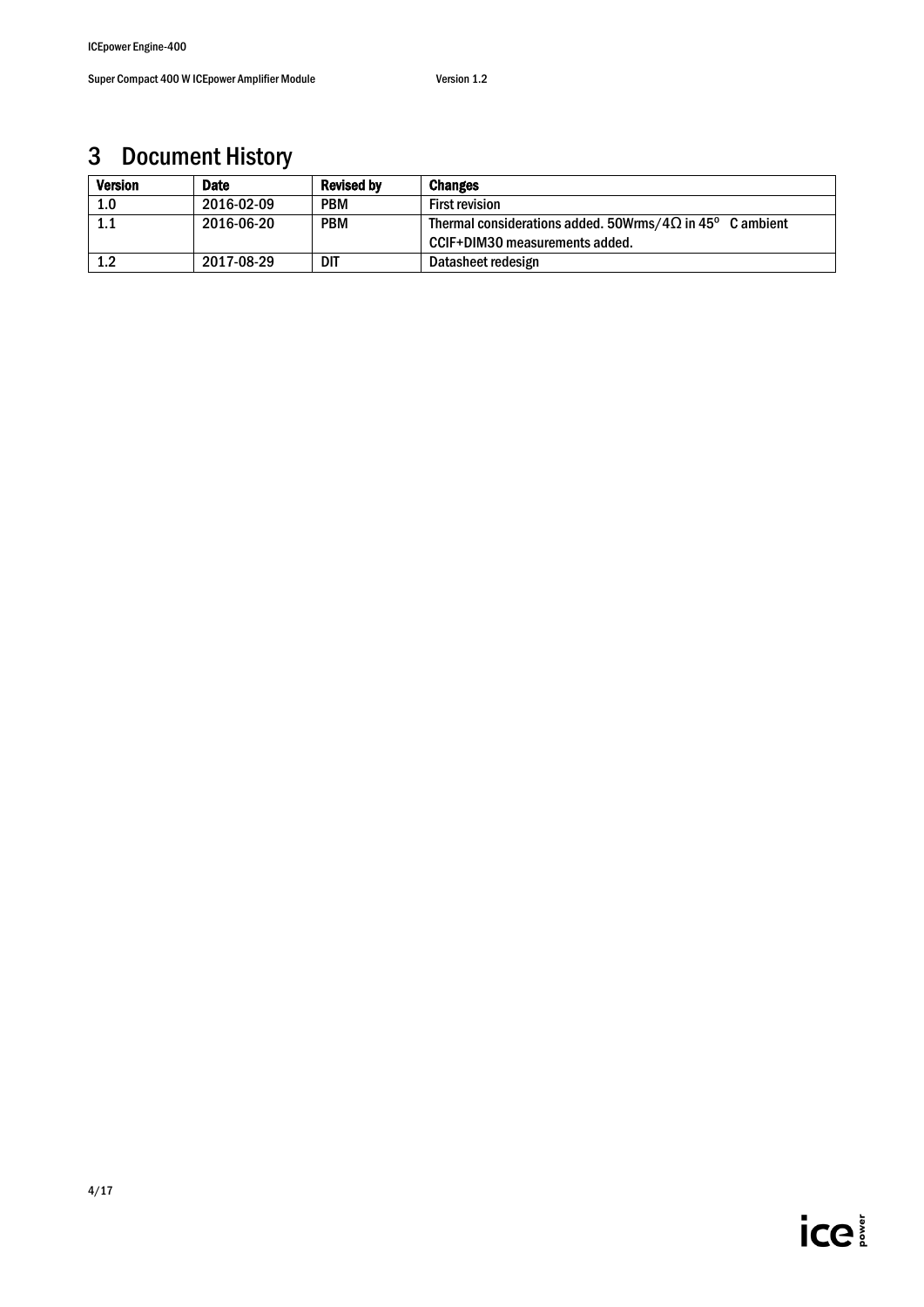# <span id="page-3-0"></span>3 Document History

| <b>Version</b> | Date       | <b>Revised by</b> | <b>Changes</b>                                                                                     |
|----------------|------------|-------------------|----------------------------------------------------------------------------------------------------|
| 1.0            | 2016-02-09 | <b>PBM</b>        | <b>First revision</b>                                                                              |
| 1.1            | 2016-06-20 | <b>PBM</b>        | Thermal considerations added. 50Wrms/4 $\Omega$ in 45° C ambient<br>CCIF+DIM30 measurements added. |
| 1.2            | 2017-08-29 | dit               | Datasheet redesign                                                                                 |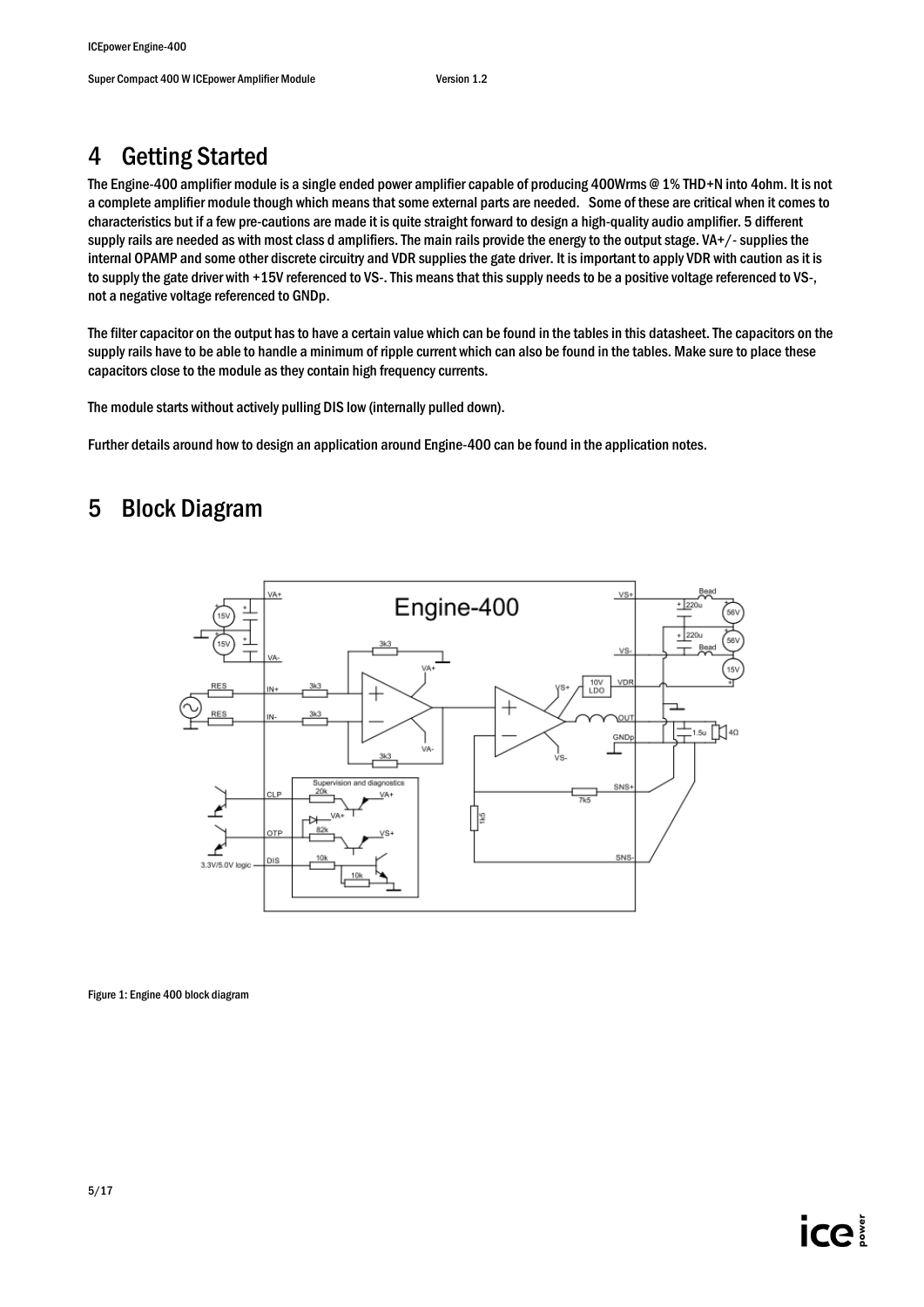# <span id="page-4-0"></span>4 Getting Started

The Engine-400 amplifier module is a single ended power amplifier capable of producing 400Wrms @ 1% THD+N into 4ohm. It is not a complete amplifier module though which means that some external parts are needed. Some of these are critical when it comes to characteristics but if a few pre-cautions are made it is quite straight forward to design a high-quality audio amplifier. 5 different supply rails are needed as with most class d amplifiers. The main rails provide the energy to the output stage.  $VA+/$ -supplies the internal OPAMP and some other discrete circuitry and VDR supplies the gate driver. It is important to apply VDR with caution as it is to supply the gate driver with +15V referenced to VS-. This means that this supply needs to be a positive voltage referenced to VS-, not a negative voltage referenced to GNDp.

The filter capacitor on the output has to have a certain value which can be found in the tables in this datasheet. The capacitors on the supply rails have to be able to handle a minimum of ripple current which can also be found in the tables. Make sure to place these capacitors close to the module as they contain high frequency currents.

The module starts without actively pulling DIS low (internally pulled down).

Further details around how to design an application around Engine-400 can be found in the application notes.

## <span id="page-4-1"></span>5 Block Diagram



Figure 1: Engine 400 block diagram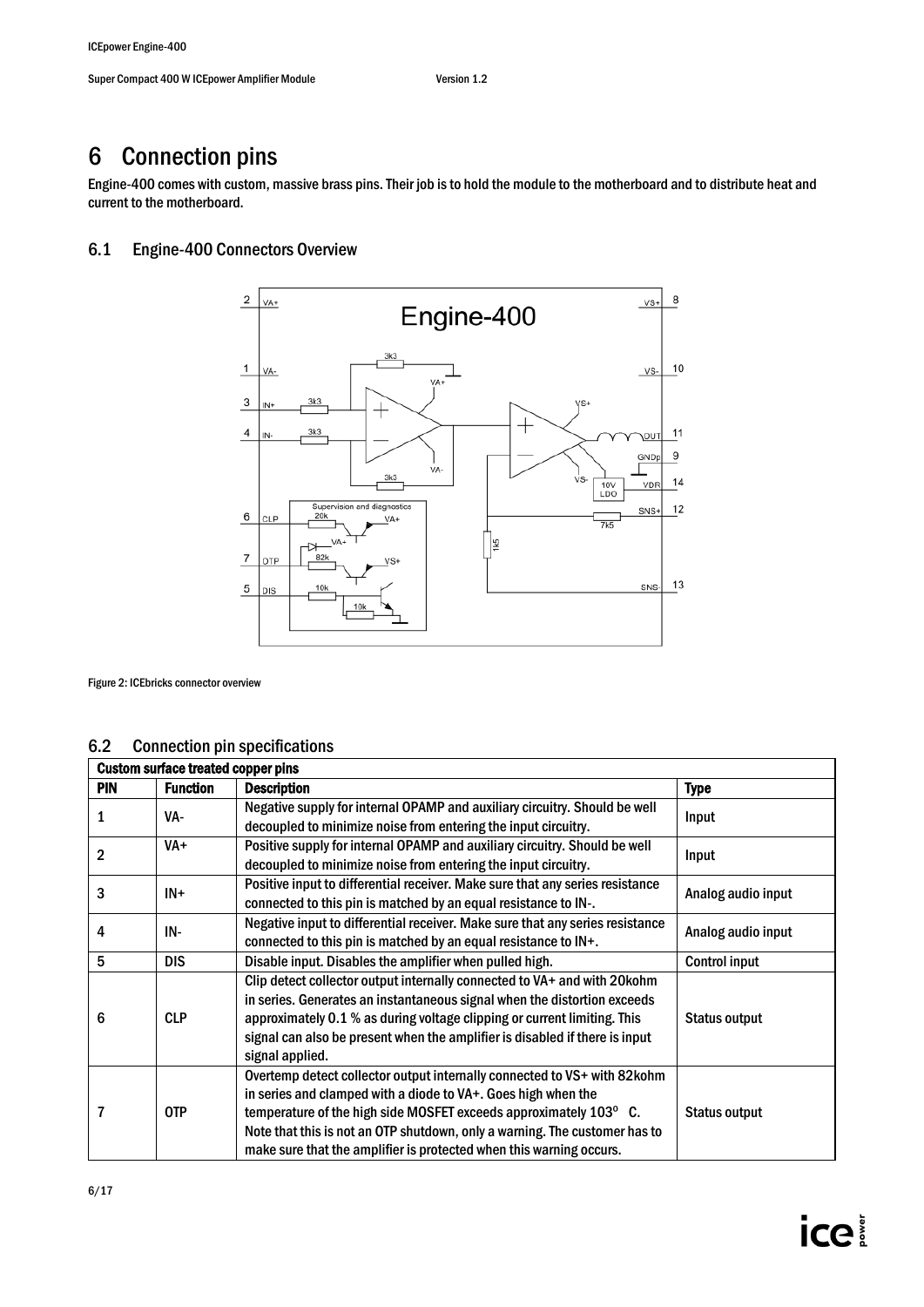## <span id="page-5-0"></span>6 Connection pins

Engine-400 comes with custom, massive brass pins. Their job is to hold the module to the motherboard and to distribute heat and current to the motherboard.

### <span id="page-5-1"></span>6.1 Engine-400 Connectors Overview



Figure 2: ICEbricks connector overview

### <span id="page-5-2"></span>6.2 Connection pin specifications

|            | <b>Custom surface treated copper pins</b> |                                                                                                                                                                                                                                                                                                                                                                     |                      |  |  |
|------------|-------------------------------------------|---------------------------------------------------------------------------------------------------------------------------------------------------------------------------------------------------------------------------------------------------------------------------------------------------------------------------------------------------------------------|----------------------|--|--|
| <b>PIN</b> | <b>Function</b>                           | Description                                                                                                                                                                                                                                                                                                                                                         | <b>Type</b>          |  |  |
| 1          | VA-                                       | Negative supply for internal OPAMP and auxiliary circuitry. Should be well<br>decoupled to minimize noise from entering the input circuitry.                                                                                                                                                                                                                        | Input                |  |  |
| 2          | VA+                                       | Positive supply for internal OPAMP and auxiliary circuitry. Should be well<br>decoupled to minimize noise from entering the input circuitry.                                                                                                                                                                                                                        | Input                |  |  |
| 3          | $IN+$                                     | Positive input to differential receiver. Make sure that any series resistance<br>connected to this pin is matched by an equal resistance to IN-.                                                                                                                                                                                                                    | Analog audio input   |  |  |
| 4          | IN-                                       | Negative input to differential receiver. Make sure that any series resistance<br>connected to this pin is matched by an equal resistance to IN+.                                                                                                                                                                                                                    | Analog audio input   |  |  |
| 5          | <b>DIS</b>                                | Disable input. Disables the amplifier when pulled high.                                                                                                                                                                                                                                                                                                             | <b>Control input</b> |  |  |
| 6          | <b>CLP</b>                                | Clip detect collector output internally connected to VA+ and with 20 kohm<br>in series. Generates an instantaneous signal when the distortion exceeds<br>approximately 0.1 % as during voltage clipping or current limiting. This<br>signal can also be present when the amplifier is disabled if there is input<br>signal applied.                                 | <b>Status output</b> |  |  |
|            | <b>OTP</b>                                | Overtemp detect collector output internally connected to VS+ with 82kohm<br>in series and clamped with a diode to VA+. Goes high when the<br>temperature of the high side MOSFET exceeds approximately 103° C.<br>Note that this is not an OTP shutdown, only a warning. The customer has to<br>make sure that the amplifier is protected when this warning occurs. | <b>Status output</b> |  |  |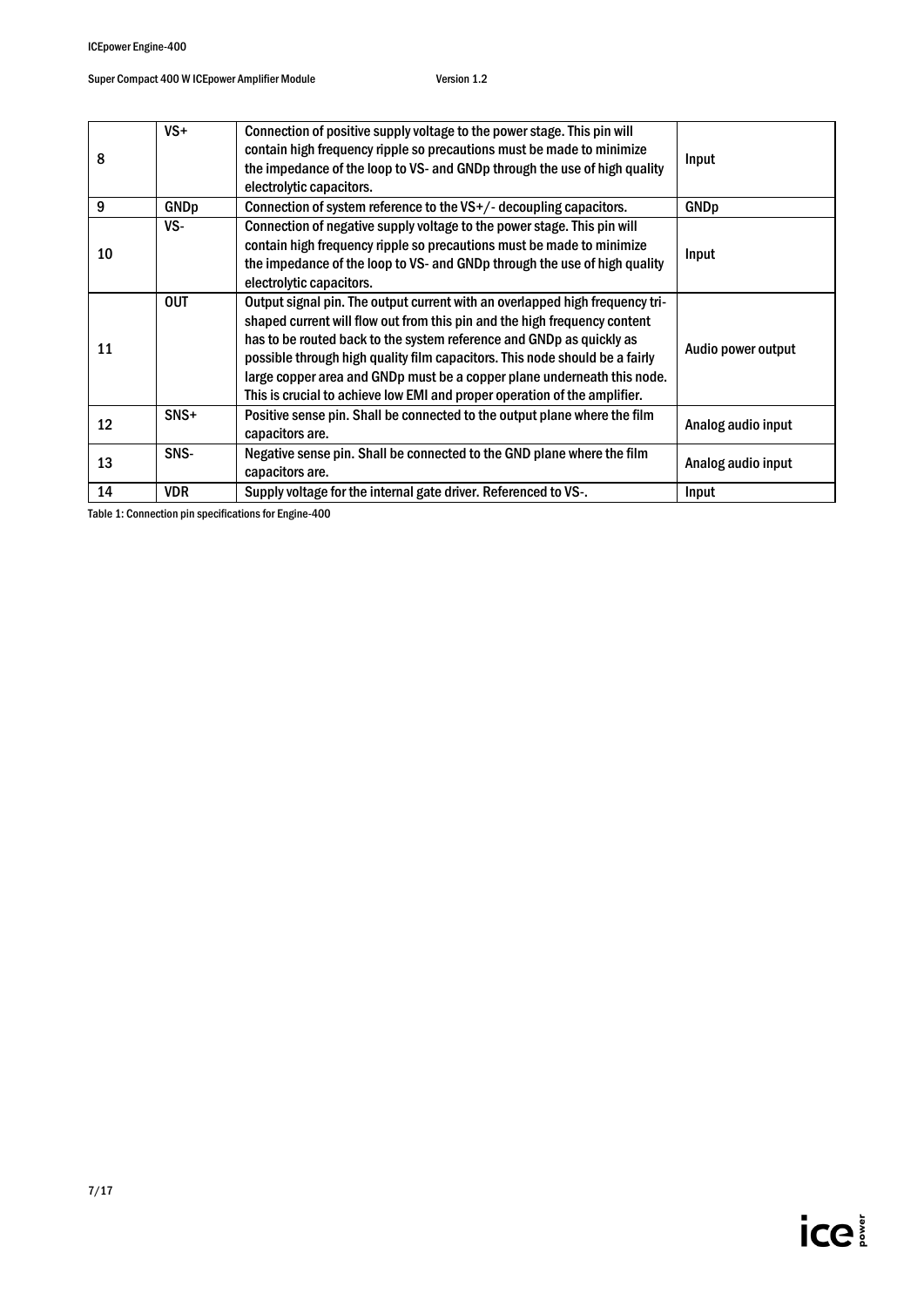| 8  | $VS +$      | Connection of positive supply voltage to the power stage. This pin will<br>contain high frequency ripple so precautions must be made to minimize<br>the impedance of the loop to VS- and GNDp through the use of high quality<br>electrolytic capacitors.                                                                                                                                                                                                                | Input              |
|----|-------------|--------------------------------------------------------------------------------------------------------------------------------------------------------------------------------------------------------------------------------------------------------------------------------------------------------------------------------------------------------------------------------------------------------------------------------------------------------------------------|--------------------|
| 9  | <b>GNDp</b> | Connection of system reference to the $VS+/-$ decoupling capacitors.                                                                                                                                                                                                                                                                                                                                                                                                     | <b>GNDp</b>        |
| 10 | VS-         | Connection of negative supply voltage to the power stage. This pin will<br>contain high frequency ripple so precautions must be made to minimize<br>the impedance of the loop to VS- and GNDp through the use of high quality<br>electrolytic capacitors.                                                                                                                                                                                                                | Input              |
| 11 | <b>OUT</b>  | Output signal pin. The output current with an overlapped high frequency tri-<br>shaped current will flow out from this pin and the high frequency content<br>has to be routed back to the system reference and GNDp as quickly as<br>possible through high quality film capacitors. This node should be a fairly<br>large copper area and GNDp must be a copper plane underneath this node.<br>This is crucial to achieve low EMI and proper operation of the amplifier. | Audio power output |
| 12 | $SNS+$      | Positive sense pin. Shall be connected to the output plane where the film<br>capacitors are.                                                                                                                                                                                                                                                                                                                                                                             | Analog audio input |
| 13 | SNS-        | Negative sense pin. Shall be connected to the GND plane where the film<br>capacitors are.                                                                                                                                                                                                                                                                                                                                                                                | Analog audio input |
| 14 | <b>VDR</b>  | Supply voltage for the internal gate driver. Referenced to VS-.                                                                                                                                                                                                                                                                                                                                                                                                          | Input              |

Table 1: Connection pin specifications for Engine-400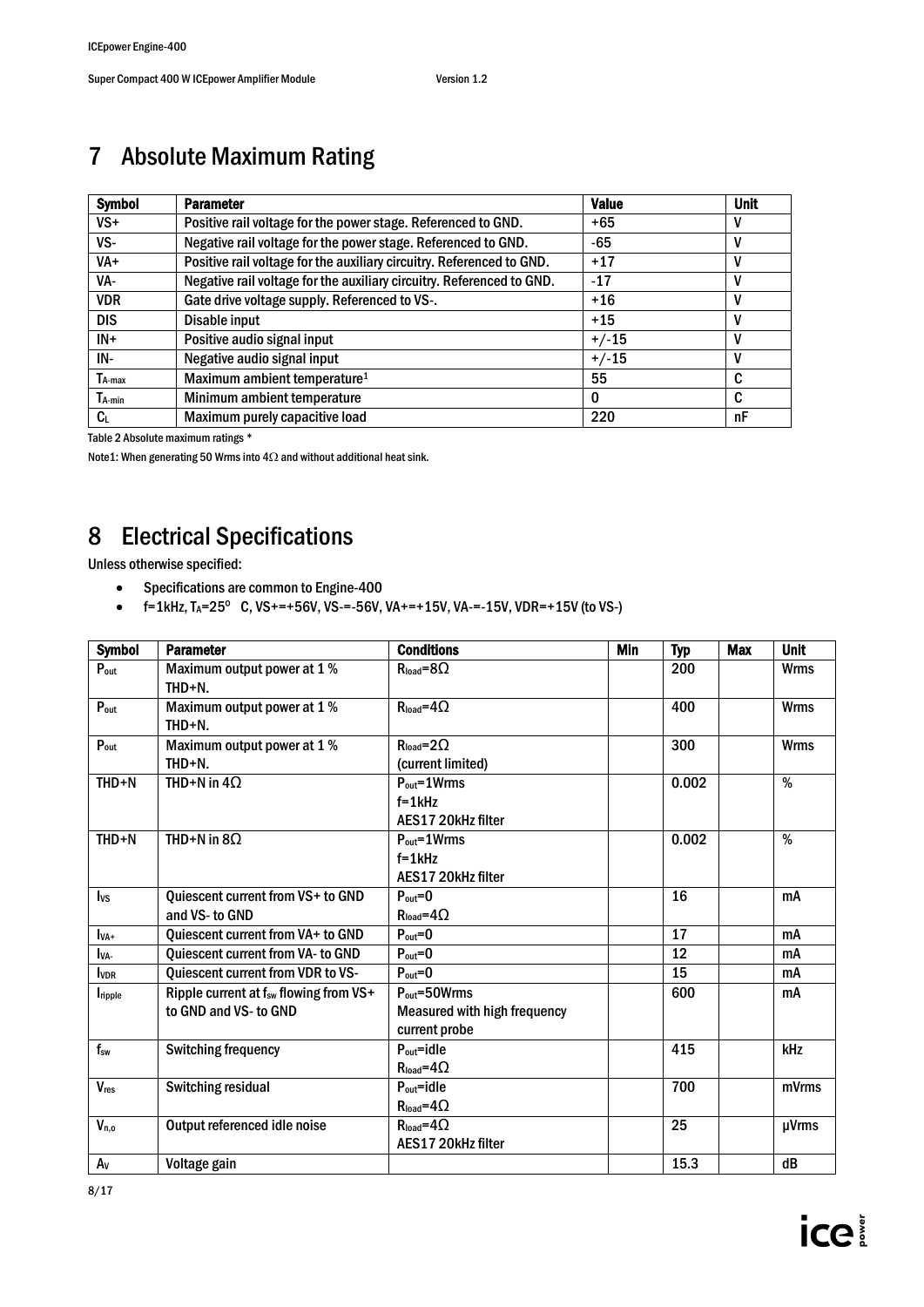# <span id="page-7-0"></span>7 Absolute Maximum Rating

| <b>Symbol</b> | <b>Parameter</b>                                                      | <b>Value</b> | <b>Unit</b> |
|---------------|-----------------------------------------------------------------------|--------------|-------------|
| $VS +$        | Positive rail voltage for the power stage. Referenced to GND.         | $+65$        | v           |
| VS-           | Negative rail voltage for the power stage. Referenced to GND.         | -65          | v           |
| VA+           | Positive rail voltage for the auxiliary circuitry. Referenced to GND. | $+17$        | v           |
| VA-           | Negative rail voltage for the auxiliary circuitry. Referenced to GND. | $-17$        | v           |
| <b>VDR</b>    | Gate drive voltage supply. Referenced to VS-.                         | $+16$        | v           |
| <b>DIS</b>    | Disable input                                                         | $+15$        | V           |
| $IN+$         | Positive audio signal input                                           | $+/-15$      | V           |
| IN-           | Negative audio signal input                                           | $+/-15$      |             |
| $T_{A-max}$   | Maximum ambient temperature <sup>1</sup>                              | 55           | C           |
| $T_{A-min}$   | Minimum ambient temperature                                           | $\bf{0}$     | C           |
| $c_{\iota}$   | Maximum purely capacitive load                                        | 220          | nF          |

Table 2 Absolute maximum ratings \*

Note1: When generating 50 Wrms into  $4\Omega$  and without additional heat sink.

# <span id="page-7-1"></span>8 Electrical Specifications

Unless otherwise specified:

- Specifications are common to Engine-400
- $f=1$ kHz, T<sub>A</sub>=25<sup>o</sup> C, VS+=+56V, VS-=-56V, VA+=+15V, VA-=-15V, VDR=+15V (to VS-)

| <b>Symbol</b>    | <b>Parameter</b>                                                            | <b>Conditions</b>                                                                  | <b>Min</b> | <b>Typ</b> | <b>Max</b> | <b>Unit</b> |
|------------------|-----------------------------------------------------------------------------|------------------------------------------------------------------------------------|------------|------------|------------|-------------|
| $P_{out}$        | Maximum output power at 1 %<br>$THD + N$ .                                  | $R_{load} = 8\Omega$                                                               |            | 200        |            | <b>Wrms</b> |
| $P_{\text{out}}$ | Maximum output power at 1 %<br>$THD+N.$                                     | $R_{load} = 4\Omega$                                                               |            | 400        |            | <b>Wrms</b> |
| $P_{out}$        | Maximum output power at 1 %<br>$THD + N$ .                                  | $R_{load} = 2\Omega$<br>(current limited)                                          |            | 300        |            | Wrms        |
| $THD + N$        | THD+N in $4\Omega$                                                          | $P_{out} = 1 \, Wrms$<br>$f = 1$ kHz<br>AES17 20kHz filter                         |            | 0.002      |            | %           |
| $THD + N$        | THD+N in $8\Omega$                                                          | $P_{out} = 1 \, Wrms$<br>$f = 1$ kHz<br>AES17 20kHz filter                         |            | 0.002      |            | %           |
| $I_{VS}$         | <b>Quiescent current from VS+ to GND</b><br>and VS- to GND                  | $P_{\text{out}}=0$<br>$R_{load} = 4\Omega$                                         |            | 16         |            | mA          |
| $I_{VA+}$        | Quiescent current from VA+ to GND                                           | $P_{\text{out}}=0$                                                                 |            | 17         |            | mA          |
| IvA-             | Quiescent current from VA- to GND                                           | $P_{\text{out}}=0$                                                                 |            | 12         |            | mA          |
| <b>I</b> VDR     | <b>Quiescent current from VDR to VS-</b>                                    | $P_{\text{out}}=0$                                                                 |            | 15         |            | mA          |
| <i>I</i> ripple  | Ripple current at f <sub>sw</sub> flowing from VS+<br>to GND and VS- to GND | $P_{\text{out}} = 50W$ rms<br><b>Measured with high frequency</b><br>current probe |            | 600        |            | mA          |
| $f_{sw}$         | <b>Switching frequency</b>                                                  | $P_{\text{out}} = idle$<br>$R_{load} = 4\Omega$                                    |            | 415        |            | kHz         |
| <b>V</b> res     | Switching residual                                                          | $P_{\text{out}} = idle$<br>$R_{load} = 4\Omega$                                    |            | 700        |            | mVrms       |
| $V_{n,o}$        | Output referenced idle noise                                                | $R_{load} = 4\Omega$<br>AES17 20kHz filter                                         |            | 25         |            | µVrms       |
| $A_V$            | Voltage gain                                                                |                                                                                    |            | 15.3       |            | dB          |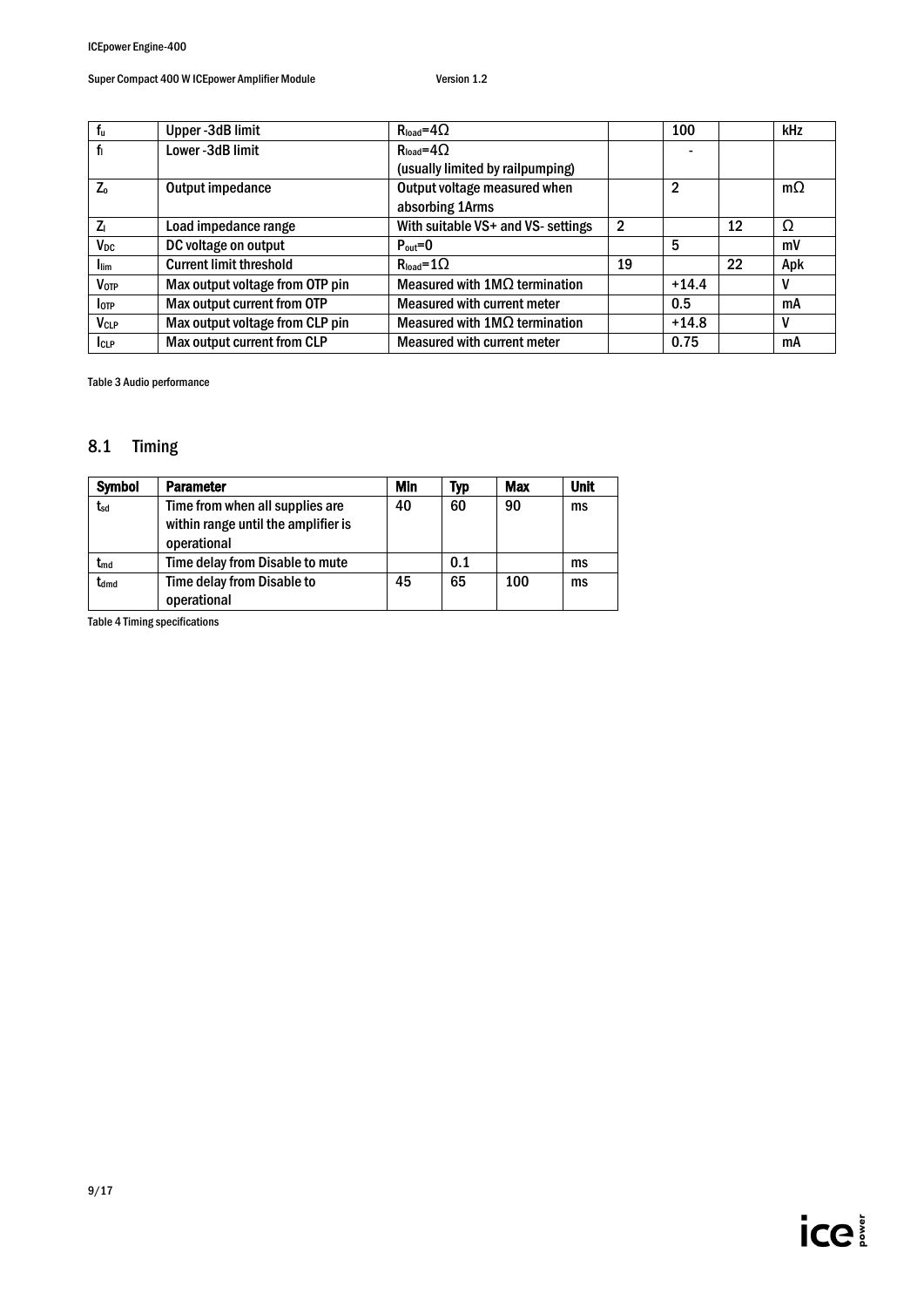| f <sub>u</sub>          | Upper-3dB limit                 | $R_{load} = 4\Omega$                   |                | 100            |    | kHz       |
|-------------------------|---------------------------------|----------------------------------------|----------------|----------------|----|-----------|
| fı                      | Lower-3dB limit                 | $R_{load} = 4\Omega$                   |                |                |    |           |
|                         |                                 | (usually limited by railpumping)       |                |                |    |           |
| $Z_0$                   | Output impedance                | Output voltage measured when           |                | $\overline{2}$ |    | $m\Omega$ |
|                         |                                 | absorbing 1Arms                        |                |                |    |           |
| $Z_{1}$                 | Load impedance range            | With suitable VS+ and VS- settings     | $\overline{2}$ |                | 12 | Ω         |
| V <sub>DC</sub>         | DC voltage on output            | $P_{\text{out}}=0$                     |                | 5              |    | mV        |
| <b>Ilim</b>             | <b>Current limit threshold</b>  | $\mathsf{R}_{\mathsf{load}} = 1\Omega$ | 19             |                | 22 | Apk       |
| <b>V</b> <sub>OTP</sub> | Max output voltage from OTP pin | Measured with $1M\Omega$ termination   |                | $+14.4$        |    | V         |
| <b>I</b> otp            | Max output current from OTP     | <b>Measured with current meter</b>     |                | 0.5            |    | mA        |
| <b>V<sub>CLP</sub></b>  | Max output voltage from CLP pin | Measured with $1M\Omega$ termination   |                | $+14.8$        |    | V         |
| <b>I</b> CLP            | Max output current from CLP     | <b>Measured with current meter</b>     |                | 0.75           |    | mA        |

Table 3 Audio performance

## <span id="page-8-0"></span>8.1 Timing

| <b>Symbol</b> | <b>Parameter</b>                                                                      | <b>Min</b> | Typ | Max | <b>Unit</b> |
|---------------|---------------------------------------------------------------------------------------|------------|-----|-----|-------------|
| tsd           | Time from when all supplies are<br>within range until the amplifier is<br>operational | 40         | 60  | 90  | ms          |
| $t_{\sf md}$  | Time delay from Disable to mute                                                       |            | 0.1 |     | ms          |
| tdmd          | Time delay from Disable to<br>operational                                             | 45         | 65  | 100 | ms          |

Table 4 Timing specifications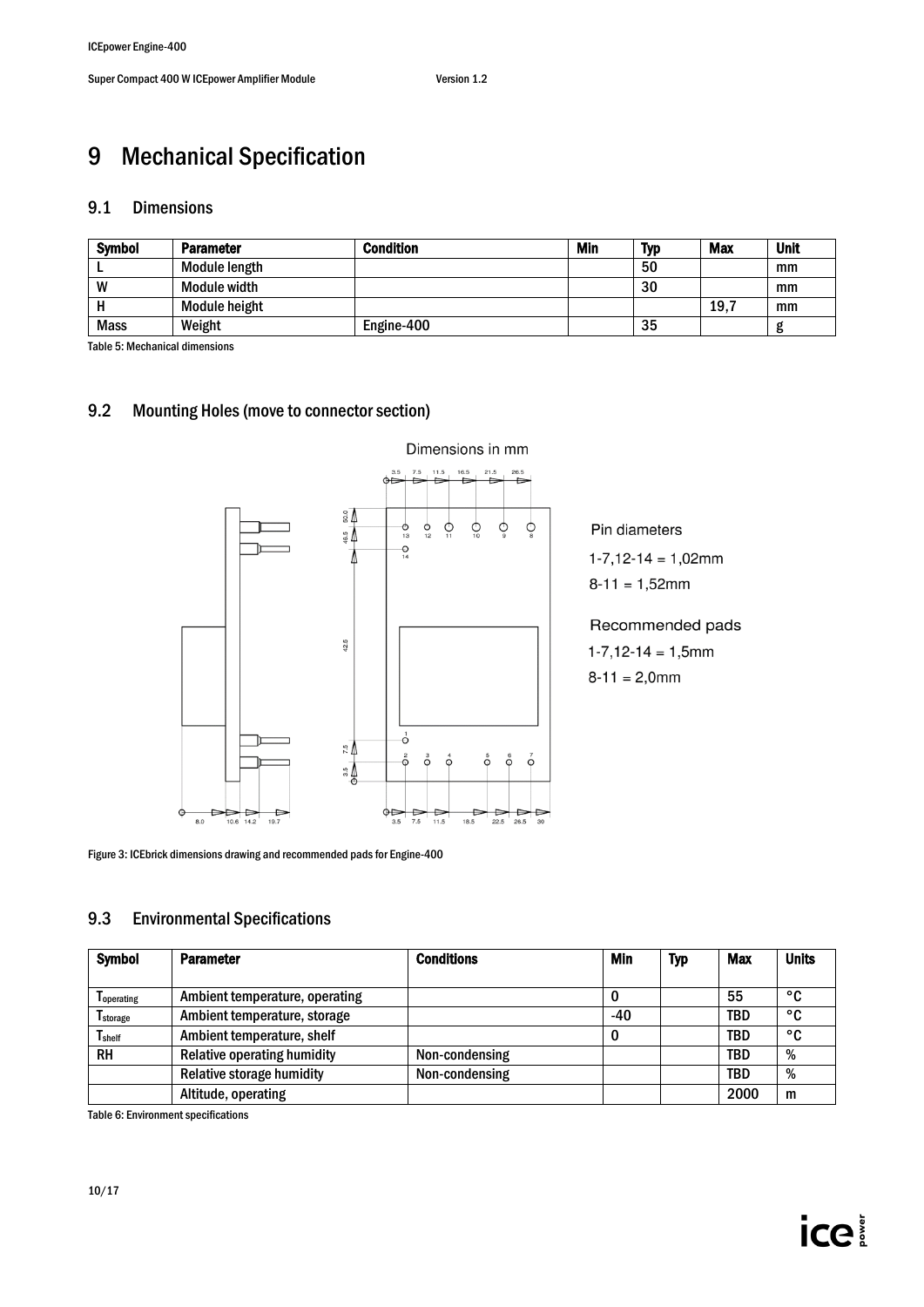# <span id="page-9-0"></span>9 Mechanical Specification

### <span id="page-9-1"></span>9.1 Dimensions

| <b>Symbol</b> | <b>Parameter</b>    | <b>Condition</b> | Min | <b>Typ</b> | Max | <b>Unit</b> |
|---------------|---------------------|------------------|-----|------------|-----|-------------|
|               | Module length       |                  |     | 50         |     | mm          |
| W             | <b>Module width</b> |                  |     | 30         |     | mm          |
|               | Module height       |                  |     |            | 19. | mm          |
| <b>Mass</b>   | Weight              | Engine-400       |     | 35         |     |             |

Table 5: Mechanical dimensions

### <span id="page-9-2"></span>9.2 Mounting Holes(move to connector section)



Pin diameters

 $1-7,12-14=1,02mm$ 

 $8-11 = 1,52mm$ 

### Recommended pads

 $1-7,12-14=1,5mm$ 

 $8-11 = 2,0$ mm

Figure 3: ICEbrick dimensions drawing and recommended pads for Engine-400

### <span id="page-9-3"></span>9.3 Environmental Specifications

| <b>Symbol</b>                 | <b>Parameter</b>                   | <b>Conditions</b> | Min   | <b>Typ</b> | Max        | <b>Units</b> |
|-------------------------------|------------------------------------|-------------------|-------|------------|------------|--------------|
| I operating                   | Ambient temperature, operating     |                   |       |            | 55         | °C           |
| <b>T</b> storage              | Ambient temperature, storage       |                   | $-40$ |            | <b>TBD</b> | °C           |
| $\mathsf{T}_{\mathsf{shelf}}$ | Ambient temperature, shelf         |                   |       |            | <b>TBD</b> | °C           |
| <b>RH</b>                     | <b>Relative operating humidity</b> | Non-condensing    |       |            | <b>TBD</b> | %            |
|                               | <b>Relative storage humidity</b>   | Non-condensing    |       |            | TBD        | %            |
|                               | Altitude, operating                |                   |       |            | 2000       | m            |

Table 6: Environment specifications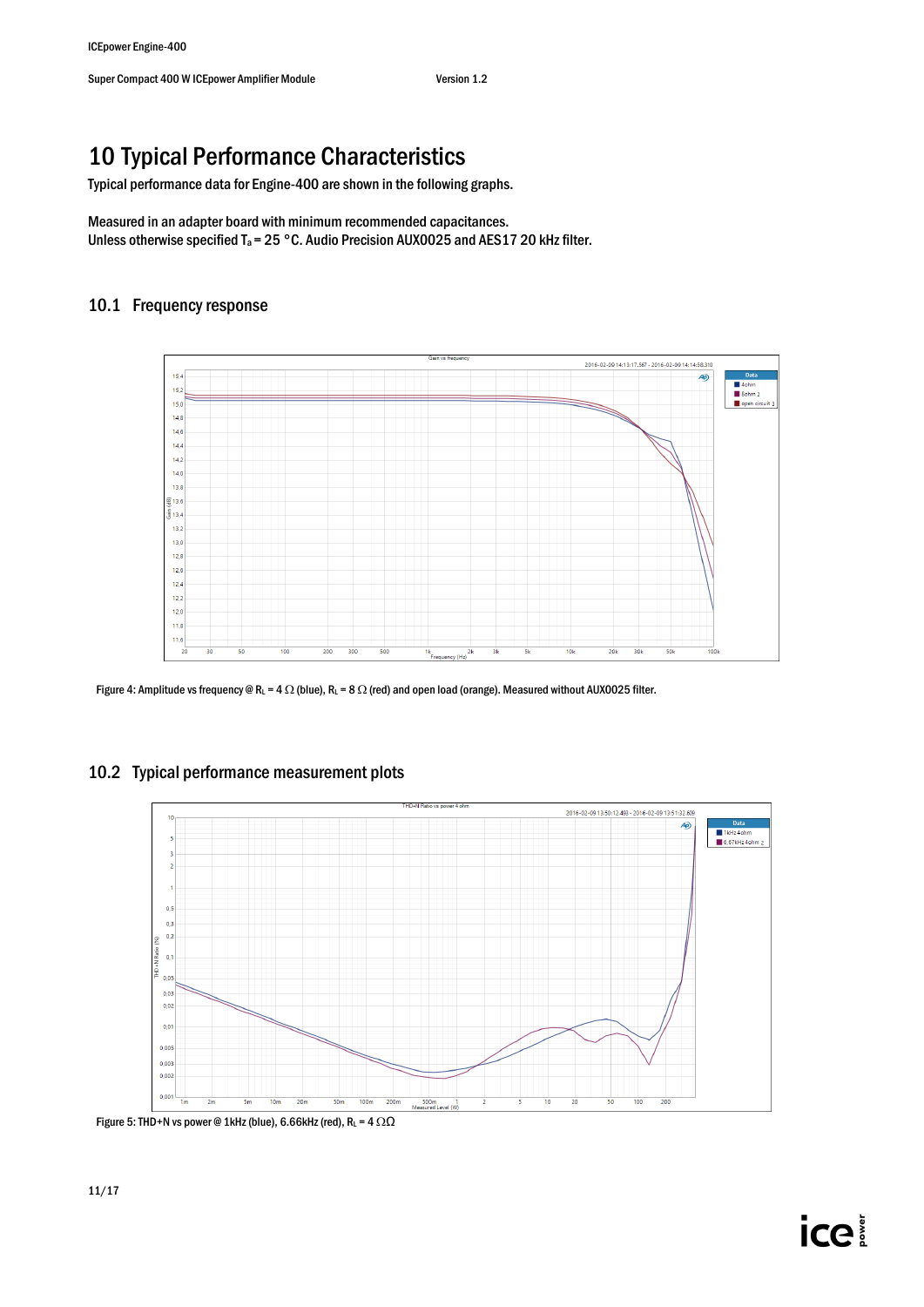# <span id="page-10-0"></span>10 Typical Performance Characteristics

Typical performance data for Engine-400 are shown in the following graphs.

Measured in an adapter board with minimum recommended capacitances. Unless otherwise specified  $T_a = 25$  °C. Audio Precision AUX0025 and AES17 20 kHz filter.

## 10.1 Frequency response



Figure 4: Amplitude vs frequency @ RL = 4  $\Omega$  (blue), RL = 8  $\Omega$  (red) and open load (orange). Measured without AUX0025 filter.

## 10.2 Typical performance measurement plots



Figure 5: THD+N vs power @ 1kHz (blue), 6.66kHz (red), RL =  $4 \Omega\Omega$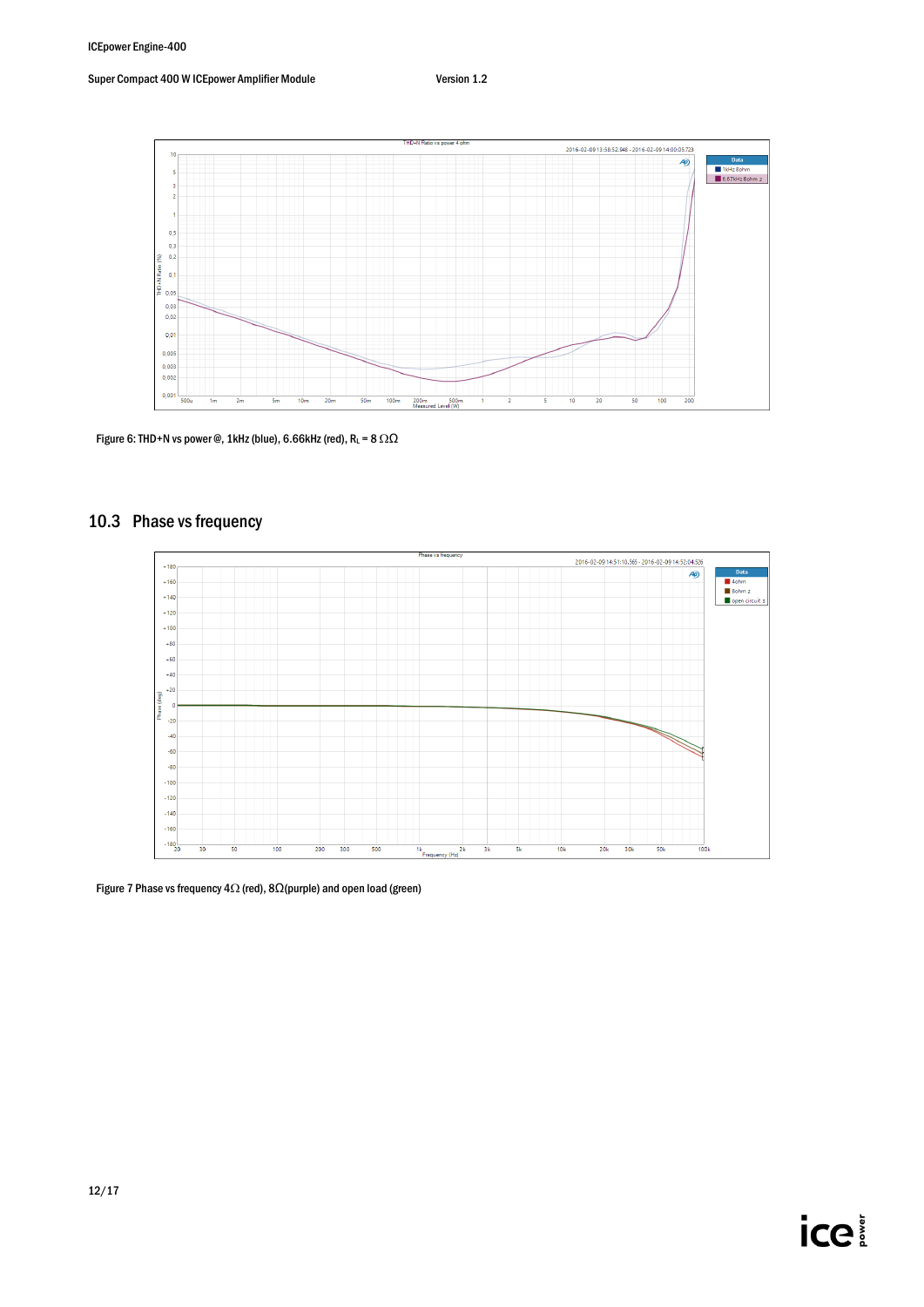

Figure 6: THD+N vs power @, 1kHz (blue), 6.66kHz (red),  $R_L = 8 \Omega \Omega$ 

## 10.3 Phase vs frequency



Figure 7 Phase vs frequency 4 $\Omega$  (red), 8 $\Omega$ (purple) and open load (green)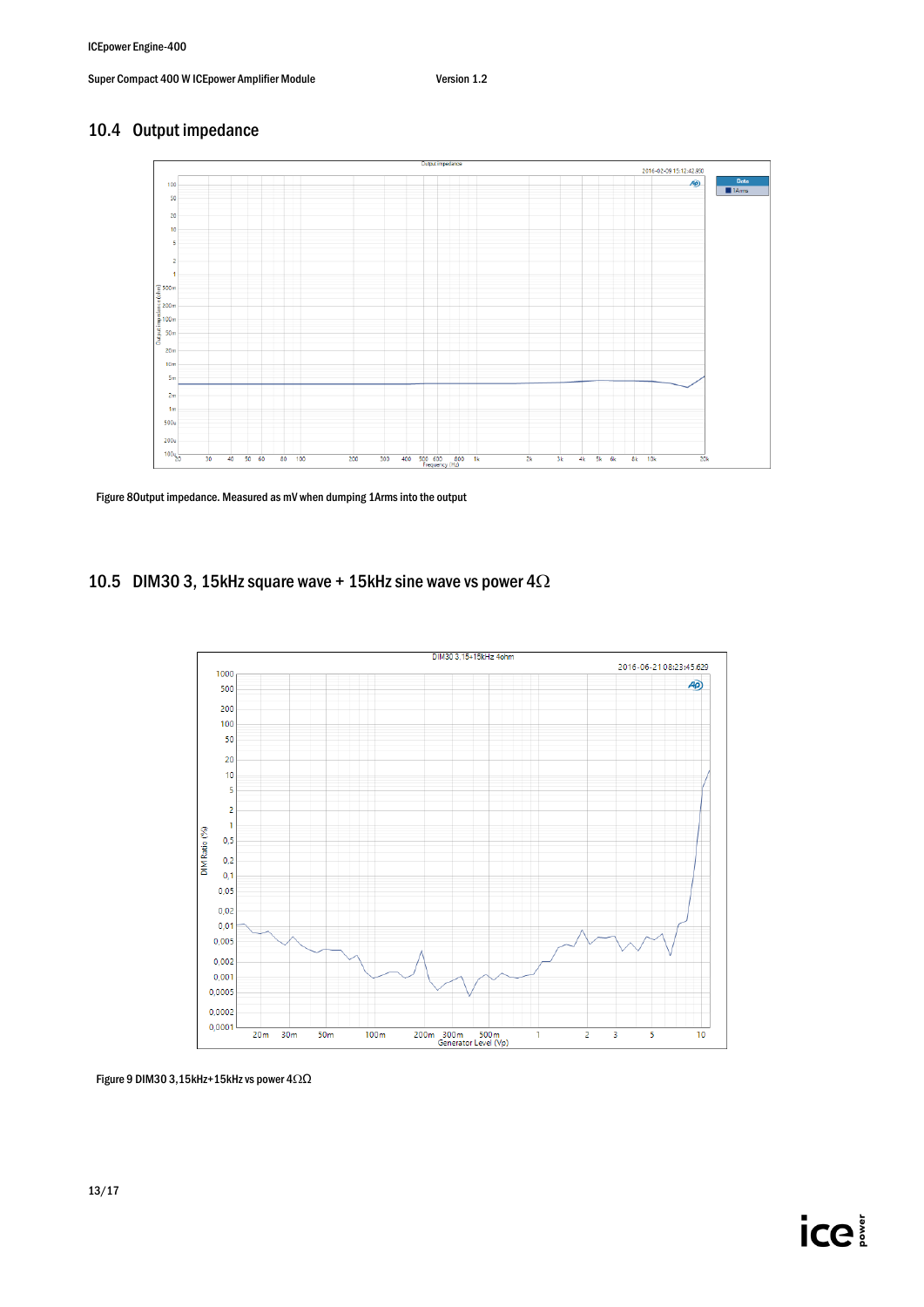## 10.4 Output impedance



Figure 8Output impedance. Measured as mV when dumping 1Arms into the output

### 10.5 DIM30 3, 15kHz square wave + 15kHz sine wave vs power  $4\Omega$



Figure 9 DIM30 3,15kHz+15kHz vs power 4Ω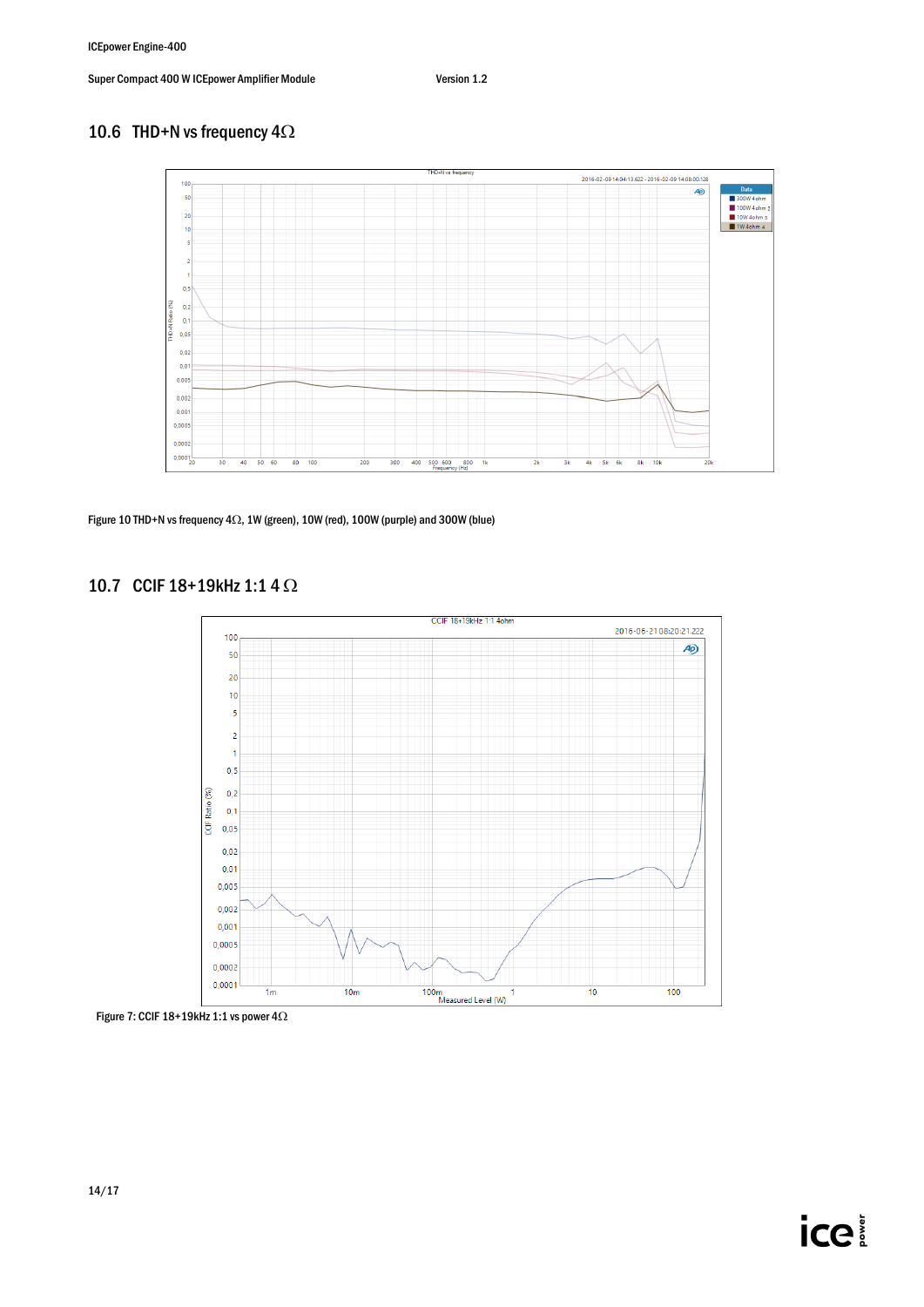## 10.6 THD+N vs frequency  $4\Omega$



Figure 10 THD+N vs frequency  $4\Omega$ , 1W (green), 10W (red), 100W (purple) and 300W (blue)

### 10.7 CCIF  $18+19$ kHz 1:1 4  $\Omega$



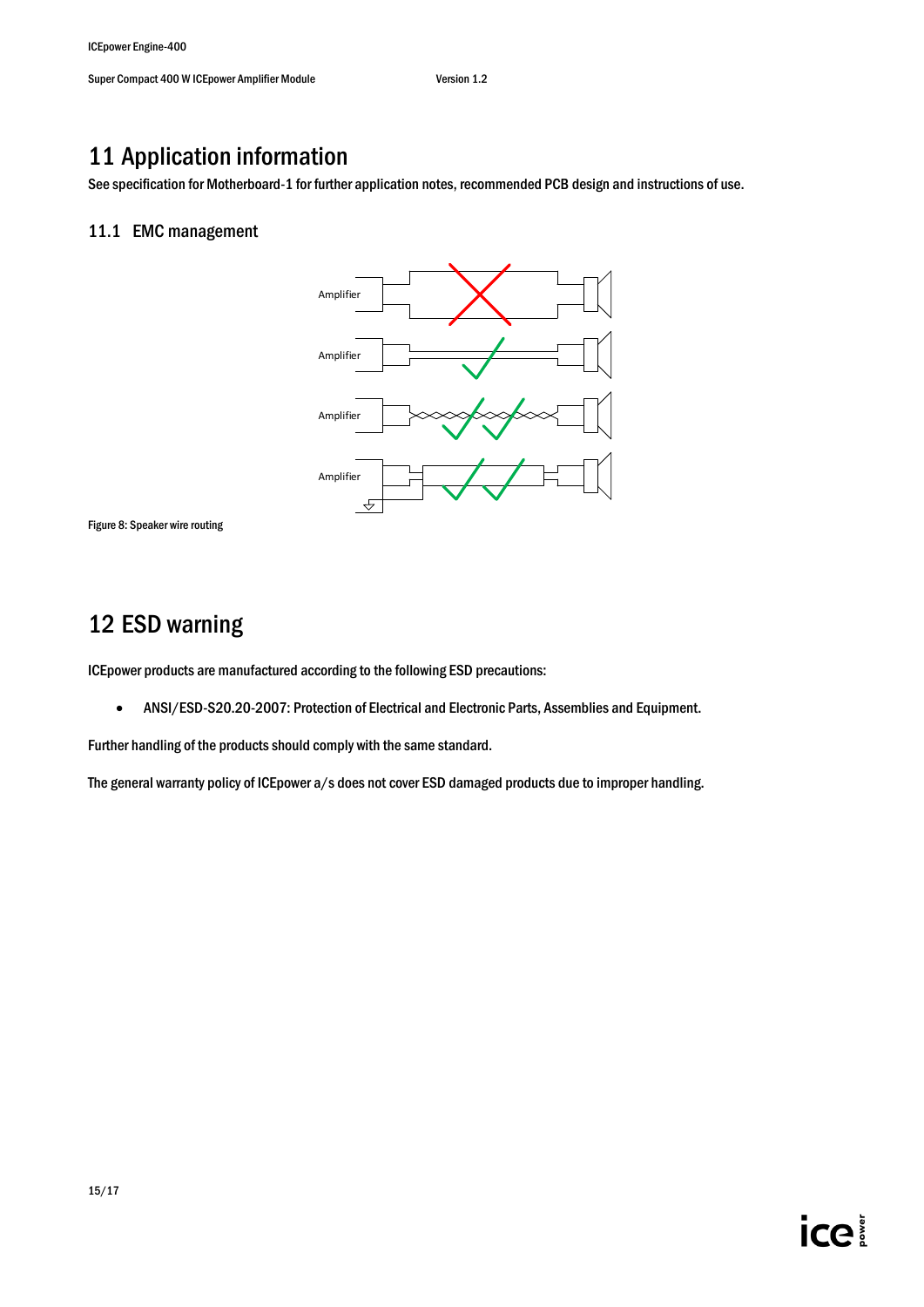## <span id="page-14-0"></span>11 Application information

<span id="page-14-1"></span>See specification for Motherboard-1 for further application notes, recommended PCB design and instructions of use.

### 11.1 EMC management





## <span id="page-14-2"></span>12 ESD warning

ICEpower products are manufactured according to the following ESD precautions:

ANSI/ESD-S20.20-2007: Protection of Electrical and Electronic Parts, Assemblies and Equipment.

Further handling of the products should comply with the same standard.

The general warranty policy of ICEpower a/s does not cover ESD damaged products due to improper handling.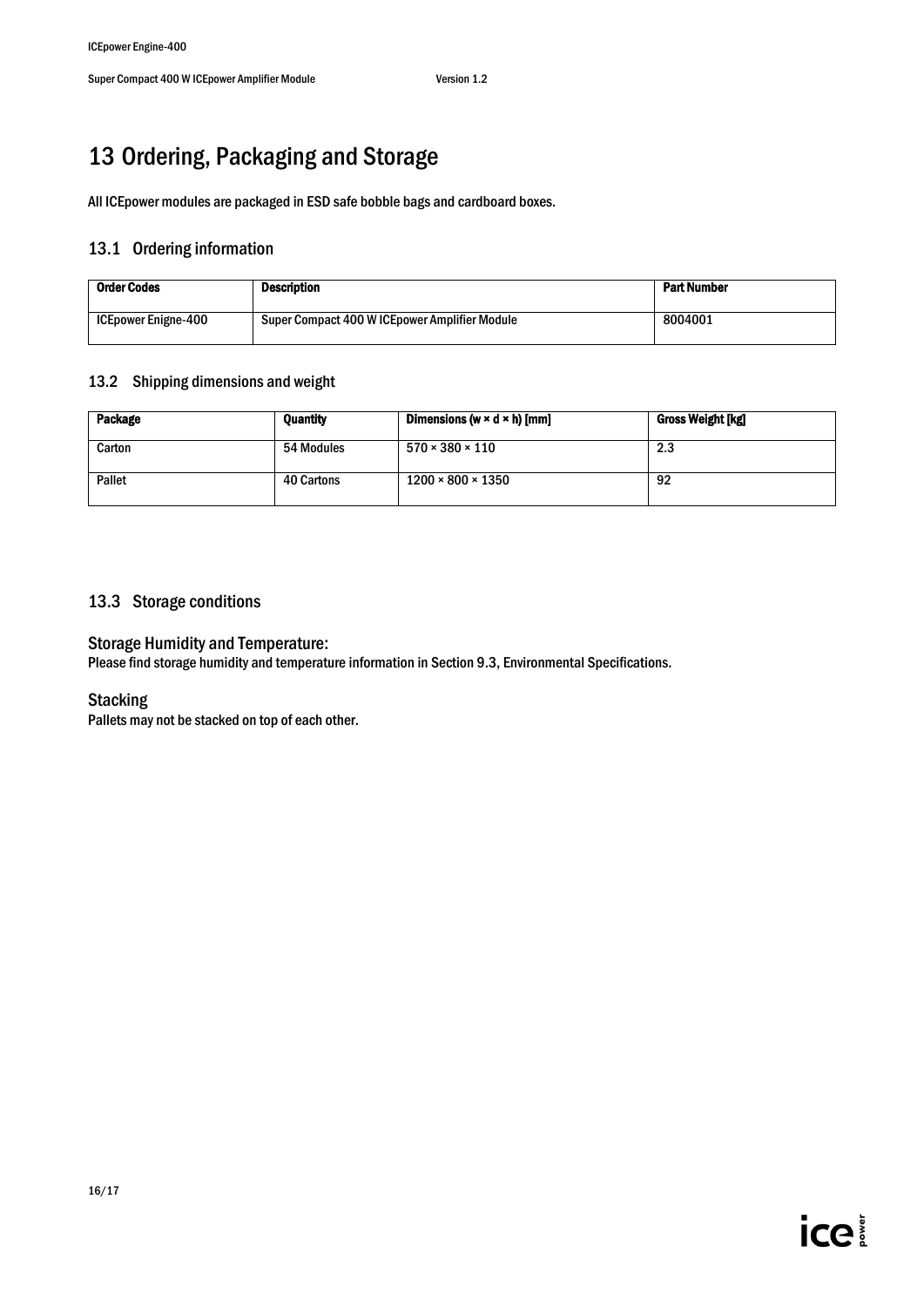# <span id="page-15-0"></span>13 Ordering, Packaging and Storage

<span id="page-15-1"></span>All ICEpower modules are packaged in ESD safe bobble bags and cardboard boxes.

## 13.1 Ordering information

| <b>Order Codes</b>         | Description                                    | <b>Part Number</b> |
|----------------------------|------------------------------------------------|--------------------|
| <b>ICEpower Enigne-400</b> | Super Compact 400 W ICE power Amplifier Module | 8004001            |

#### <span id="page-15-2"></span>13.2 Shipping dimensions and weight

| Package | <b>Quantity</b> | Dimensions (w $\times$ d $\times$ h) [mm] | Gross Weight [kg] |
|---------|-----------------|-------------------------------------------|-------------------|
| Carton  | 54 Modules      | $570 \times 380 \times 110$               | 2.3               |
| Pallet  | 40 Cartons      | $1200 \times 800 \times 1350$             | 92                |

### <span id="page-15-3"></span>13.3 Storage conditions

#### Storage Humidity and Temperature:

Please find storage humidity and temperature information in Sectio[n 9.3,](#page-9-3) Environmental Specifications.

#### Stacking

Pallets may not be stacked on top of each other.